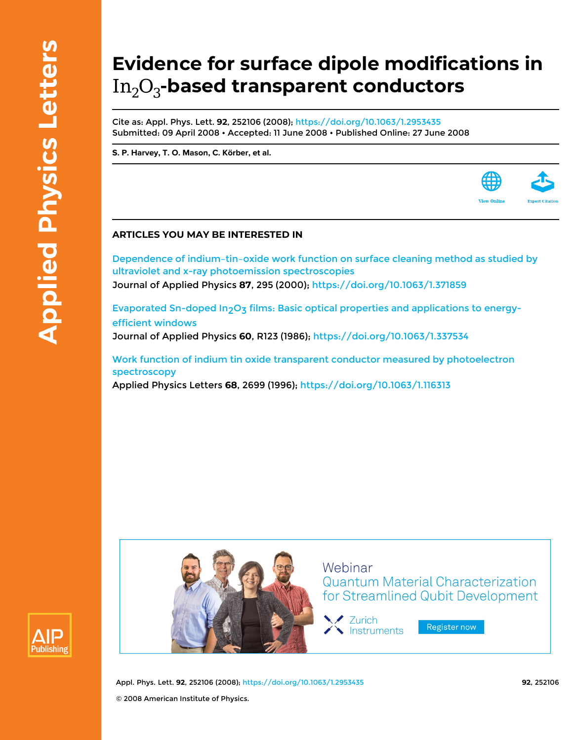## **Evidence for surface dipole modifications in** In<sub>2</sub>O<sub>3</sub>-based transparent conductors

Cite as: Appl. Phys. Lett. **92**, 252106 (2008); <https://doi.org/10.1063/1.2953435> Submitted: 09 April 2008 • Accepted: 11 June 2008 • Published Online: 27 June 2008

**[S. P. Harvey](https://aip.scitation.org/author/Harvey%2C+S+P), [T. O. Mason](https://aip.scitation.org/author/Mason%2C+T+O), [C. Körber](https://aip.scitation.org/author/K%C3%B6rber%2C+C), et al.**

## **ARTICLES YOU MAY BE INTERESTED IN**

[Dependence of indium–tin–oxide work function on surface cleaning method as studied by](https://aip.scitation.org/doi/10.1063/1.371859) [ultraviolet and x-ray photoemission spectroscopies](https://aip.scitation.org/doi/10.1063/1.371859) Journal of Applied Physics **87**, 295 (2000); <https://doi.org/10.1063/1.371859>

Evaporated Sn-doped In<sub>2</sub>O<sub>3</sub> films: Basic optical properties and applications to energy[efficient windows](https://aip.scitation.org/doi/10.1063/1.337534)

Journal of Applied Physics **60**, R123 (1986); <https://doi.org/10.1063/1.337534>

[Work function of indium tin oxide transparent conductor measured by photoelectron](https://aip.scitation.org/doi/10.1063/1.116313) [spectroscopy](https://aip.scitation.org/doi/10.1063/1.116313)

Applied Physics Letters **68**, 2699 (1996); <https://doi.org/10.1063/1.116313>





Appl. Phys. Lett. **92**, 252106 (2008); <https://doi.org/10.1063/1.2953435> **92**, 252106 © 2008 American Institute of Physics.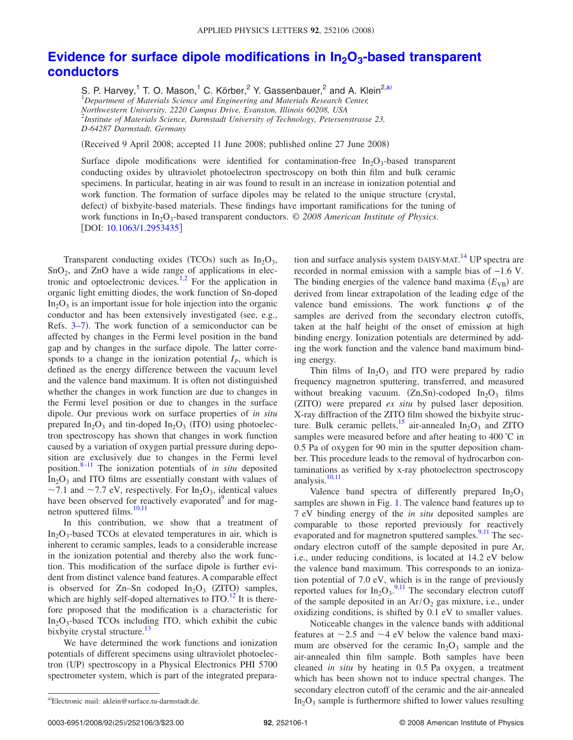## Evidence for surface dipole modifications in  $In_2O_3$ -based transparent **[conductors](http://dx.doi.org/10.1063/1.2953435)**

S. P. Harvey,<sup>1</sup> T. O. Mason,<sup>1</sup> C. Körber,<sup>2</sup> Y. Gassenbauer,<sup>2</sup> and A. Klein<sup>2[,a](#page-1-0))</sup> 1 *Department of Materials Science and Engineering and Materials Research Center, Northwestern University, 2220 Campus Drive, Evanston, Illinois 60208, USA* 2 *Institute of Materials Science, Darmstadt University of Technology, Petersenstrasse 23, D-64287 Darmstadt, Germany*

Received 9 April 2008; accepted 11 June 2008; published online 27 June 2008-

Surface dipole modifications were identified for contamination-free  $In_2O_3$ -based transparent conducting oxides by ultraviolet photoelectron spectroscopy on both thin film and bulk ceramic specimens. In particular, heating in air was found to result in an increase in ionization potential and work function. The formation of surface dipoles may be related to the unique structure (crystal, defect) of bixbyite-based materials. These findings have important ramifications for the tuning of work functions in In<sub>2</sub>O<sub>3</sub>-based transparent conductors. © 2008 American Institute of Physics. [DOI: [10.1063/1.2953435](http://dx.doi.org/10.1063/1.2953435)]

Transparent conducting oxides (TCOs) such as  $In<sub>2</sub>O<sub>3</sub>$ ,  $SnO<sub>2</sub>$ , and ZnO have a wide range of applications in elec-tronic and optoelectronic devices.<sup>1[,2](#page-3-1)</sup> For the application in organic light emitting diodes, the work function of Sn-doped  $In_2O_3$  is an important issue for hole injection into the organic conductor and has been extensively investigated (see, e.g., Refs. [3](#page-3-2)[–7](#page-3-3)). The work function of a semiconductor can be affected by changes in the Fermi level position in the band gap and by changes in the surface dipole. The latter corresponds to a change in the ionization potential  $I<sub>P</sub>$ , which is defined as the energy difference between the vacuum level and the valence band maximum. It is often not distinguished whether the changes in work function are due to changes in the Fermi level position or due to changes in the surface dipole. Our previous work on surface properties of *in situ* prepared  $In_2O_3$  and tin-doped  $In_2O_3$  (ITO) using photoelectron spectroscopy has shown that changes in work function caused by a variation of oxygen partial pressure during deposition are exclusively due to changes in the Fermi level position[.8](#page-3-4)[–11](#page-3-5) The ionization potentials of *in situ* deposited  $In_2O_3$  and ITO films are essentially constant with values of  $\sim$ 7.1 and  $\sim$ 7.7 eV, respectively. For In<sub>2</sub>O<sub>3</sub>, identical values have been observed for reactively evaporated<sup>9</sup> and for mag-netron sputtered films.<sup>10[,11](#page-3-5)</sup>

In this contribution, we show that a treatment of  $In_2O_3$ -based TCOs at elevated temperatures in air, which is inherent to ceramic samples, leads to a considerable increase in the ionization potential and thereby also the work function. This modification of the surface dipole is further evident from distinct valence band features. A comparable effect is observed for Zn-Sn codoped  $In_2O_3$  (ZITO) samples, which are highly self-doped alternatives to  $ITO<sup>12</sup>$  It is therefore proposed that the modification is a characteristic for  $In_2O_3$ -based TCOs including ITO, which exhibit the cubic bixbyite crystal structure.<sup>13</sup>

We have determined the work functions and ionization potentials of different specimens using ultraviolet photoelectron (UP) spectroscopy in a Physical Electronics PHI 5700 spectrometer system, which is part of the integrated prepara-

tion and surface analysis system DAISY-MAT.<sup>[14](#page-3-10)</sup> UP spectra are recorded in normal emission with a sample bias of −1.6 V. The binding energies of the valence band maxima  $(E_{VB})$  are derived from linear extrapolation of the leading edge of the valence band emissions. The work functions  $\varphi$  of the samples are derived from the secondary electron cutoffs, taken at the half height of the onset of emission at high binding energy. Ionization potentials are determined by adding the work function and the valence band maximum binding energy.

Thin films of  $In_2O_3$  and ITO were prepared by radio frequency magnetron sputtering, transferred, and measured without breaking vacuum.  $(Zn, Sn)$ -codoped  $In<sub>2</sub>O<sub>3</sub>$  films (ZITO) were prepared *ex situ* by pulsed laser deposition. X-ray diffraction of the ZITO film showed the bixbyite structure. Bulk ceramic pellets,<sup>15</sup> air-annealed  $In_2O_3$  and ZITO samples were measured before and after heating to 400 °C in 0.5 Pa of oxygen for 90 min in the sputter deposition chamber. This procedure leads to the removal of hydrocarbon contaminations as verified by x-ray photoelectron spectroscopy analysis.<sup>10,[11](#page-3-5)</sup>

Valence band spectra of differently prepared  $In_2O_3$ samples are shown in Fig. [1.](#page-2-0) The valence band features up to 7 eV binding energy of the *in situ* deposited samples are comparable to those reported previously for reactively evaporated and for magnetron sputtered samples.<sup>9,[11](#page-3-5)</sup> The secondary electron cutoff of the sample deposited in pure Ar, i.e., under reducing conditions, is located at 14.2 eV below the valence band maximum. This corresponds to an ionization potential of 7.0 eV, which is in the range of previously reported values for  $In_2O_3$ .<sup>[9,](#page-3-6)[11](#page-3-5)</sup> The secondary electron cutoff of the sample deposited in an  $Ar/O_2$  gas mixture, i.e., under oxidizing conditions, is shifted by 0.1 eV to smaller values.

Noticeable changes in the valence bands with additional features at  $\sim$ 2.5 and  $\sim$ 4 eV below the valence band maximum are observed for the ceramic  $In_2O_3$  sample and the air-annealed thin film sample. Both samples have been cleaned *in situ* by heating in 0.5 Pa oxygen, a treatment which has been shown not to induce spectral changes. The secondary electron cutoff of the ceramic and the air-annealed  $In_2O_3$  sample is furthermore shifted to lower values resulting

<span id="page-1-0"></span>Electronic mail: aklein@surface.tu-darmstadt.de.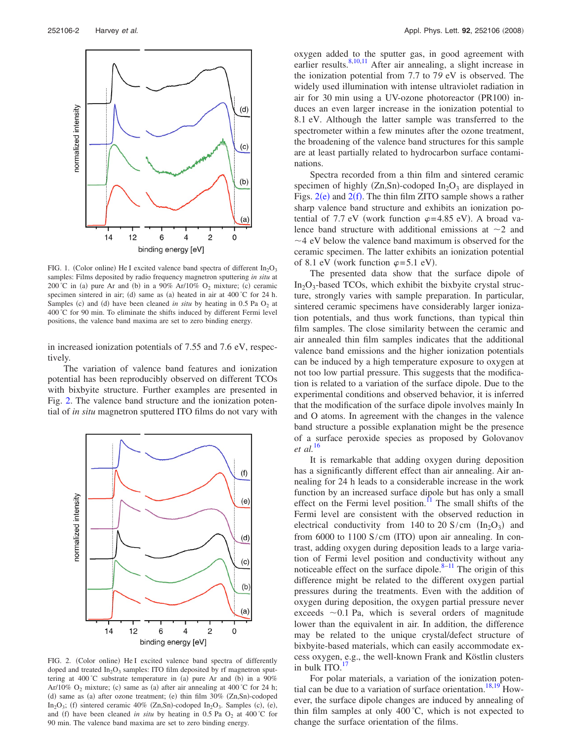<span id="page-2-0"></span>

FIG. 1. (Color online) He I excited valence band spectra of different  $In_2O_3$ samples: Films deposited by radio frequency magnetron sputtering *in situ* at 200 °C in (a) pure Ar and (b) in a 90% Ar/10%  $O_2$  mixture; (c) ceramic specimen sintered in air; (d) same as (a) heated in air at  $400^{\circ}$ C for 24 h. Samples (c) and (d) have been cleaned *in situ* by heating in 0.5 Pa O<sub>2</sub> at 400 C for 90 min. To eliminate the shifts induced by different Fermi level positions, the valence band maxima are set to zero binding energy.

in increased ionization potentials of 7.55 and 7.6 eV, respectively.

The variation of valence band features and ionization potential has been reproducibly observed on different TCOs with bixbyite structure. Further examples are presented in Fig. [2.](#page-2-1) The valence band structure and the ionization potential of *in situ* magnetron sputtered ITO films do not vary with

<span id="page-2-1"></span>

FIG. 2. (Color online) He I excited valence band spectra of differently doped and treated  $In_2O_3$  samples: ITO film deposited by rf magnetron sputtering at  $400^{\circ}$ C substrate temperature in (a) pure Ar and (b) in a  $90\%$ Ar/10% O<sub>2</sub> mixture; (c) same as (a) after air annealing at 400 °C for 24 h; (d) same as (a) after ozone treatment; (e) thin film 30% (Zn,Sn)-codoped In<sub>2</sub>O<sub>3</sub>; (f) sintered ceramic 40% (Zn,Sn)-codoped In<sub>2</sub>O<sub>3</sub>. Samples (c), (e), and (f) have been cleaned *in situ* by heating in 0.5 Pa  $O_2$  at 400 °C for 90 min. The valence band maxima are set to zero binding energy.

oxygen added to the sputter gas, in good agreement with earlier results.<sup>8,[10](#page-3-7)[,11](#page-3-5)</sup> After air annealing, a slight increase in the ionization potential from 7.7 to 7*9* eV is observed. The widely used illumination with intense ultraviolet radiation in air for 30 min using a UV-ozone photoreactor (PR100) induces an even larger increase in the ionization potential to 8.1 eV. Although the latter sample was transferred to the spectrometer within a few minutes after the ozone treatment, the broadening of the valence band structures for this sample are at least partially related to hydrocarbon surface contaminations.

Spectra recorded from a thin film and sintered ceramic specimen of highly  $(Zn, Sn)$ -codoped  $In<sub>2</sub>O<sub>3</sub>$  are displayed in Figs.  $2(e)$  $2(e)$  and  $2(f)$ . The thin film ZITO sample shows a rather sharp valence band structure and exhibits an ionization potential of 7.7 eV (work function  $\varphi = 4.85$  eV). A broad valence band structure with additional emissions at  $\sim$ 2 and  $\sim$  4 eV below the valence band maximum is observed for the ceramic specimen. The latter exhibits an ionization potential of 8.1 eV (work function  $\varphi = 5.1$  eV).

The presented data show that the surface dipole of  $In_2O_3$ -based TCOs, which exhibit the bixbyite crystal structure, strongly varies with sample preparation. In particular, sintered ceramic specimens have considerably larger ionization potentials, and thus work functions, than typical thin film samples. The close similarity between the ceramic and air annealed thin film samples indicates that the additional valence band emissions and the higher ionization potentials can be induced by a high temperature exposure to oxygen at not too low partial pressure. This suggests that the modification is related to a variation of the surface dipole. Due to the experimental conditions and observed behavior, it is inferred that the modification of the surface dipole involves mainly In and O atoms. In agreement with the changes in the valence band structure a possible explanation might be the presence of a surface peroxide species as proposed by Golovanov *et al.*[16](#page-3-12)

It is remarkable that adding oxygen during deposition has a significantly different effect than air annealing. Air annealing for 24 h leads to a considerable increase in the work function by an increased surface dipole but has only a small effect on the Fermi level position.<sup>11</sup> The small shifts of the Fermi level are consistent with the observed reduction in electrical conductivity from 140 to 20 S/cm  $(In_2O_3)$  and from  $6000$  to  $1100$  S/cm (ITO) upon air annealing. In contrast, adding oxygen during deposition leads to a large variation of Fermi level position and conductivity without any noticeable effect on the surface dipole. $8-11$  The origin of this difference might be related to the different oxygen partial pressures during the treatments. Even with the addition of oxygen during deposition, the oxygen partial pressure never exceeds  $\sim$  0.1 Pa, which is several orders of magnitude lower than the equivalent in air. In addition, the difference may be related to the unique crystal/defect structure of bixbyite-based materials, which can easily accommodate excess oxygen, e.g., the well-known Frank and Köstlin clusters in bulk  $ITO.<sup>17</sup>$ 

For polar materials, a variation of the ionization poten-tial can be due to a variation of surface orientation.<sup>18,[19](#page-3-15)</sup> However, the surface dipole changes are induced by annealing of thin film samples at only 400 C, which is not expected to change the surface orientation of the films.